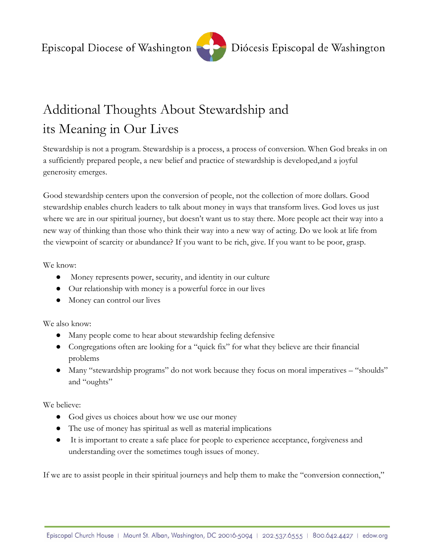

## Diócesis Episcopal de Washington

## Additional Thoughts About Stewardship and its Meaning in Our Lives

Stewardship is not a program. Stewardship is a process, a process of conversion. When God breaks in on a sufficiently prepared people, a new belief and practice of stewardship is developed,and a joyful generosity emerges.

Good stewardship centers upon the conversion of people, not the collection of more dollars. Good stewardship enables church leaders to talk about money in ways that transform lives. God loves us just where we are in our spiritual journey, but doesn't want us to stay there. More people act their way into a new way of thinking than those who think their way into a new way of acting. Do we look at life from the viewpoint of scarcity or abundance? If you want to be rich, give. If you want to be poor, grasp.

We know:

- Money represents power, security, and identity in our culture
- Our relationship with money is a powerful force in our lives
- Money can control our lives

We also know:

- Many people come to hear about stewardship feeling defensive
- Congregations often are looking for a "quick fix" for what they believe are their financial problems
- Many "stewardship programs" do not work because they focus on moral imperatives "shoulds" and "oughts"

We believe:

- God gives us choices about how we use our money
- The use of money has spiritual as well as material implications
- It is important to create a safe place for people to experience acceptance, forgiveness and understanding over the sometimes tough issues of money.

If we are to assist people in their spiritual journeys and help them to make the "conversion connection,"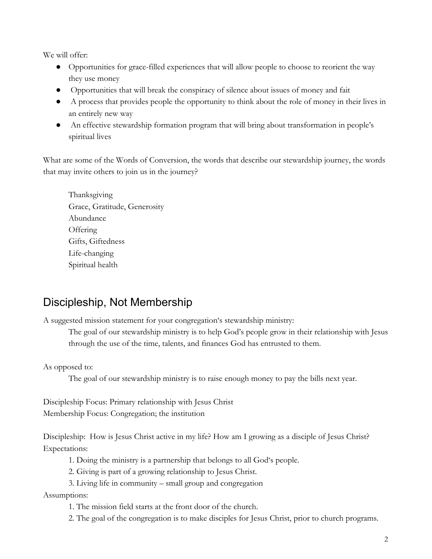We will offer:

- Opportunities for grace-filled experiences that will allow people to choose to reorient the way they use money
- Opportunities that will break the conspiracy of silence about issues of money and fait
- A process that provides people the opportunity to think about the role of money in their lives in an entirely new way
- An effective stewardship formation program that will bring about transformation in people's spiritual lives

What are some of the Words of Conversion, the words that describe our stewardship journey, the words that may invite others to join us in the journey?

Thanksgiving Grace, Gratitude, Generosity Abundance **Offering** Gifts, Giftedness Life-changing Spiritual health

## Discipleship, Not Membership

A suggested mission statement for your congregation's stewardship ministry:

The goal of our stewardship ministry is to help God's people grow in their relationship with Jesus through the use of the time, talents, and finances God has entrusted to them.

As opposed to:

The goal of our stewardship ministry is to raise enough money to pay the bills next year.

Discipleship Focus: Primary relationship with Jesus Christ Membership Focus: Congregation; the institution

Discipleship: How is Jesus Christ active in my life? How am I growing as a disciple of Jesus Christ? Expectations:

- 1. Doing the ministry is a partnership that belongs to all God's people.
- 2. Giving is part of a growing relationship to Jesus Christ.
- 3. Living life in community small group and congregation

Assumptions:

- 1. The mission field starts at the front door of the church.
- 2. The goal of the congregation is to make disciples for Jesus Christ, prior to church programs.